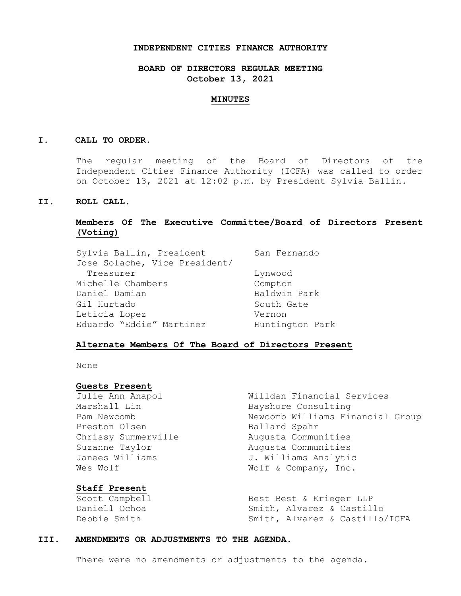#### **INDEPENDENT CITIES FINANCE AUTHORITY**

# **BOARD OF DIRECTORS REGULAR MEETING October 13, 2021**

#### **MINUTES**

### **I. CALL TO ORDER.**

The regular meeting of the Board of Directors of the Independent Cities Finance Authority (ICFA) was called to order on October 13, 2021 at 12:02 p.m. by President Sylvia Ballin.

### **II. ROLL CALL.**

## **Members Of The Executive Committee/Board of Directors Present (Voting)**

| Sylvia Ballin, President      | San Fernando    |
|-------------------------------|-----------------|
| Jose Solache, Vice President/ |                 |
| Treasurer                     | Lynwood         |
| Michelle Chambers             | Compton         |
| Daniel Damian                 | Baldwin Park    |
| Gil Hurtado                   | South Gate      |
| Leticia Lopez                 | Vernon          |
| Eduardo "Eddie" Martinez      | Huntington Park |

### **Alternate Members Of The Board of Directors Present**

None

#### **Guests Present**

Preston Olsen Ballard Spahr Wes Wolf  $W$  Wolf & Company, Inc.

## **Staff Present**

Julie Ann Anapol Willdan Financial Services Marshall Lin Bayshore Consulting Pam Newcomb 1997 (Pam Newcomb Williams Financial Group Chrissy Summerville Augusta Communities Suzanne Taylor **Augusta** Communities Janees Williams 3. Williams Analytic

Scott Campbell Best Best & Krieger LLP Daniell Ochoa Smith, Alvarez & Castillo Debbie Smith Smith, Alvarez & Castillo/ICFA

### **III. AMENDMENTS OR ADJUSTMENTS TO THE AGENDA.**

There were no amendments or adjustments to the agenda.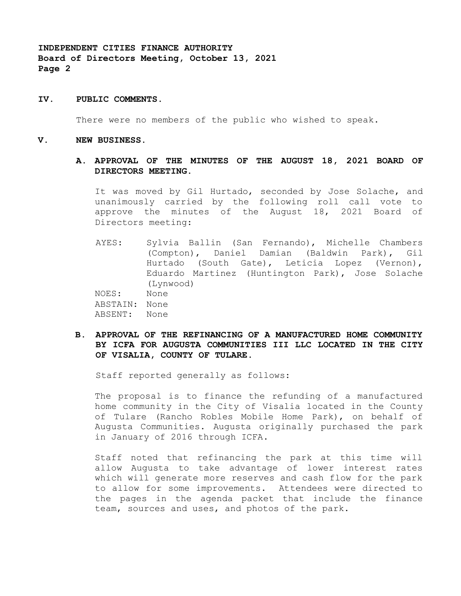### **IV. PUBLIC COMMENTS.**

There were no members of the public who wished to speak.

#### **V. NEW BUSINESS.**

### **A. APPROVAL OF THE MINUTES OF THE AUGUST 18, 2021 BOARD OF DIRECTORS MEETING.**

It was moved by Gil Hurtado, seconded by Jose Solache, and unanimously carried by the following roll call vote to approve the minutes of the August 18, 2021 Board of Directors meeting:

AYES: Sylvia Ballin (San Fernando), Michelle Chambers (Compton), Daniel Damian (Baldwin Park), Gil Hurtado (South Gate), Leticia Lopez (Vernon), Eduardo Martinez (Huntington Park), Jose Solache (Lynwood)

NOES: None ABSTAIN: None ABSENT: None

**B. APPROVAL OF THE REFINANCING OF A MANUFACTURED HOME COMMUNITY BY ICFA FOR AUGUSTA COMMUNITIES III LLC LOCATED IN THE CITY OF VISALIA, COUNTY OF TULARE.**

Staff reported generally as follows:

The proposal is to finance the refunding of a manufactured home community in the City of Visalia located in the County of Tulare (Rancho Robles Mobile Home Park), on behalf of Augusta Communities. Augusta originally purchased the park in January of 2016 through ICFA.

Staff noted that refinancing the park at this time will allow Augusta to take advantage of lower interest rates which will generate more reserves and cash flow for the park to allow for some improvements. Attendees were directed to the pages in the agenda packet that include the finance team, sources and uses, and photos of the park.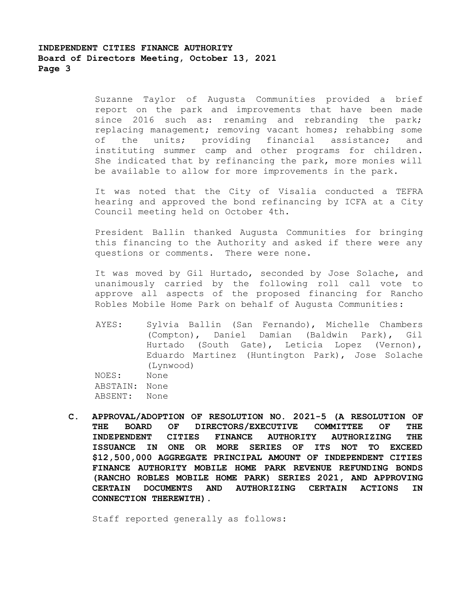Suzanne Taylor of Augusta Communities provided a brief report on the park and improvements that have been made since 2016 such as: renaming and rebranding the park; replacing management; removing vacant homes; rehabbing some of the units; providing financial assistance; and instituting summer camp and other programs for children. She indicated that by refinancing the park, more monies will be available to allow for more improvements in the park.

It was noted that the City of Visalia conducted a TEFRA hearing and approved the bond refinancing by ICFA at a City Council meeting held on October 4th.

President Ballin thanked Augusta Communities for bringing this financing to the Authority and asked if there were any questions or comments. There were none.

It was moved by Gil Hurtado, seconded by Jose Solache, and unanimously carried by the following roll call vote to approve all aspects of the proposed financing for Rancho Robles Mobile Home Park on behalf of Augusta Communities:

- AYES: Sylvia Ballin (San Fernando), Michelle Chambers (Compton), Daniel Damian (Baldwin Park), Gil Hurtado (South Gate), Leticia Lopez (Vernon), Eduardo Martinez (Huntington Park), Jose Solache (Lynwood) NOES: None ABSTAIN: None ABSENT: None
- **C. APPROVAL/ADOPTION OF RESOLUTION NO. 2021-5 (A RESOLUTION OF THE BOARD OF DIRECTORS/EXECUTIVE COMMITTEE OF THE INDEPENDENT CITIES FINANCE AUTHORITY AUTHORIZING THE ISSUANCE IN ONE OR MORE SERIES OF ITS NOT TO EXCEED \$12,500,000 AGGREGATE PRINCIPAL AMOUNT OF INDEPENDENT CITIES FINANCE AUTHORITY MOBILE HOME PARK REVENUE REFUNDING BONDS (RANCHO ROBLES MOBILE HOME PARK) SERIES 2021, AND APPROVING CERTAIN DOCUMENTS AND AUTHORIZING CERTAIN ACTIONS IN CONNECTION THEREWITH).**

Staff reported generally as follows: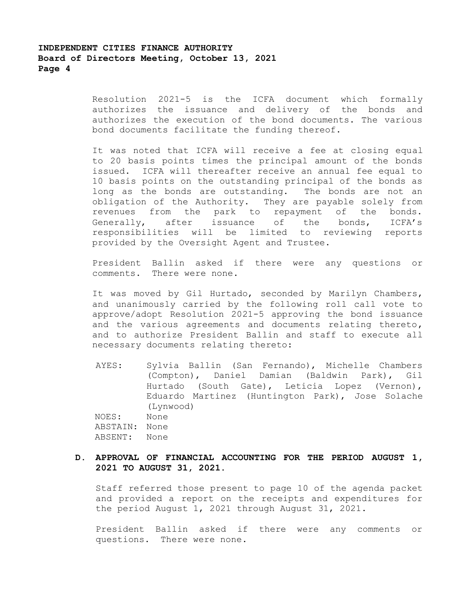Resolution 2021-5 is the ICFA document which formally authorizes the issuance and delivery of the bonds and authorizes the execution of the bond documents. The various bond documents facilitate the funding thereof.

It was noted that ICFA will receive a fee at closing equal to 20 basis points times the principal amount of the bonds issued. ICFA will thereafter receive an annual fee equal to 10 basis points on the outstanding principal of the bonds as long as the bonds are outstanding. The bonds are not an obligation of the Authority. They are payable solely from revenues from the park to repayment of the bonds. Generally, after issuance of the bonds, ICFA's responsibilities will be limited to reviewing reports provided by the Oversight Agent and Trustee.

President Ballin asked if there were any questions or comments. There were none.

It was moved by Gil Hurtado, seconded by Marilyn Chambers, and unanimously carried by the following roll call vote to approve/adopt Resolution 2021-5 approving the bond issuance and the various agreements and documents relating thereto, and to authorize President Ballin and staff to execute all necessary documents relating thereto:

AYES: Sylvia Ballin (San Fernando), Michelle Chambers (Compton), Daniel Damian (Baldwin Park), Gil Hurtado (South Gate), Leticia Lopez (Vernon), Eduardo Martinez (Huntington Park), Jose Solache (Lynwood) NOES: None ABSTAIN: None ABSENT: None

## **D. APPROVAL OF FINANCIAL ACCOUNTING FOR THE PERIOD AUGUST 1, 2021 TO AUGUST 31, 2021.**

Staff referred those present to page 10 of the agenda packet and provided a report on the receipts and expenditures for the period August 1, 2021 through August 31, 2021.

President Ballin asked if there were any comments or questions. There were none.